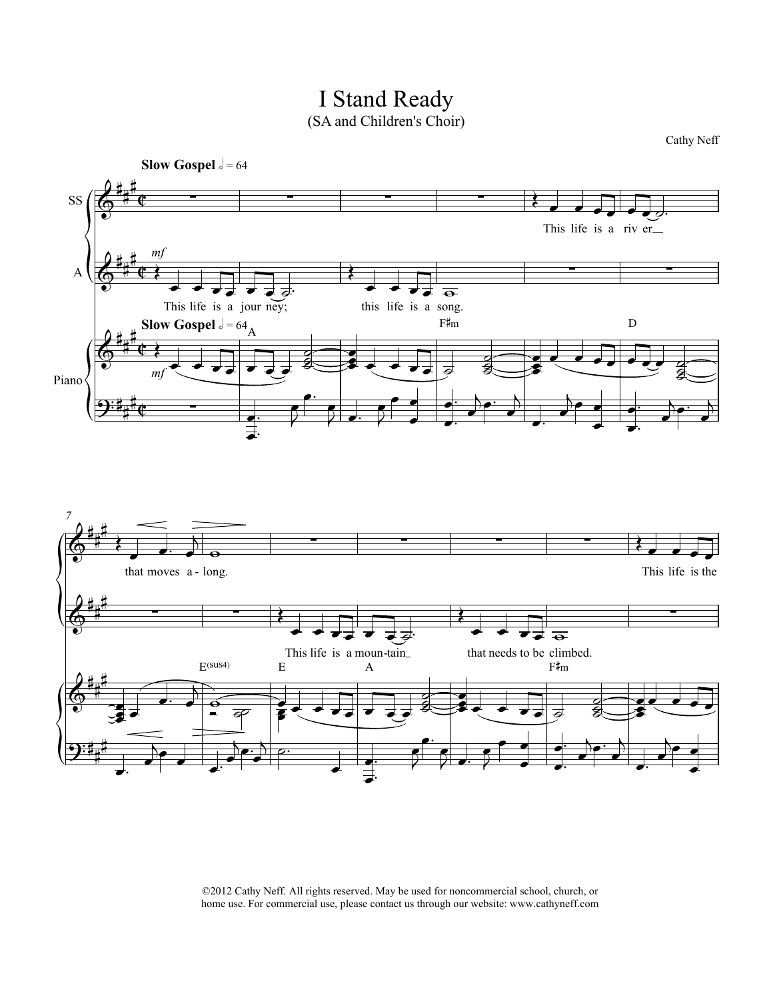

I Stand Ready

©2012 Cathy Neff. All rights reserved. May be used for noncommercial school, church, or home use. For commercial use, please contact us through our website: www.cathyneff.com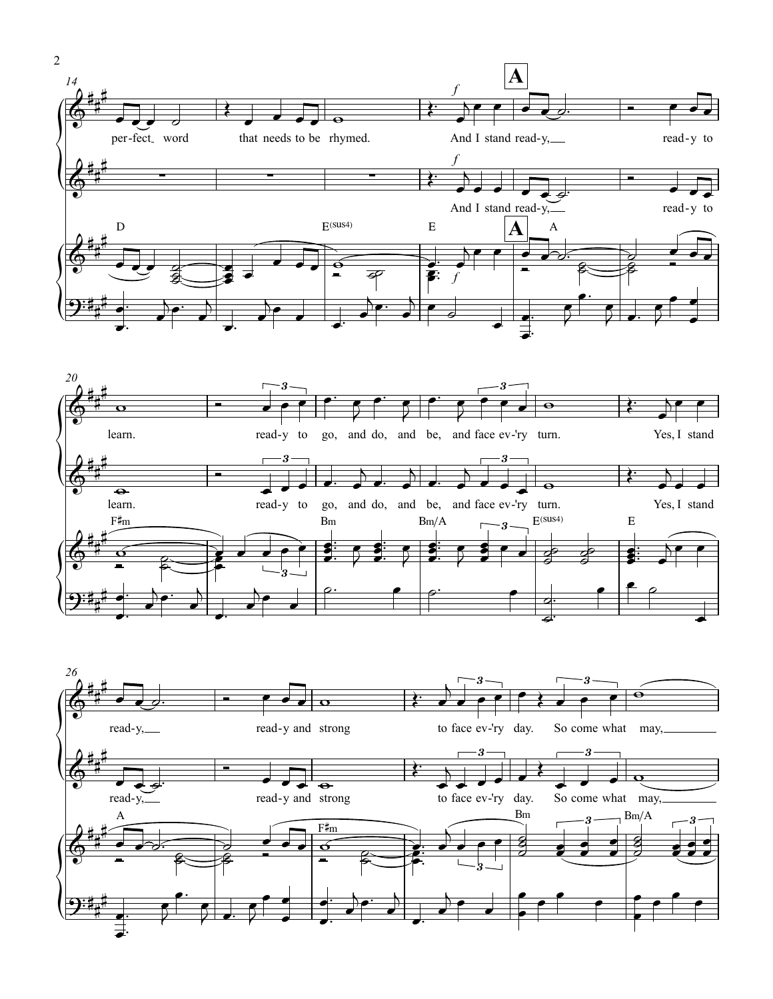



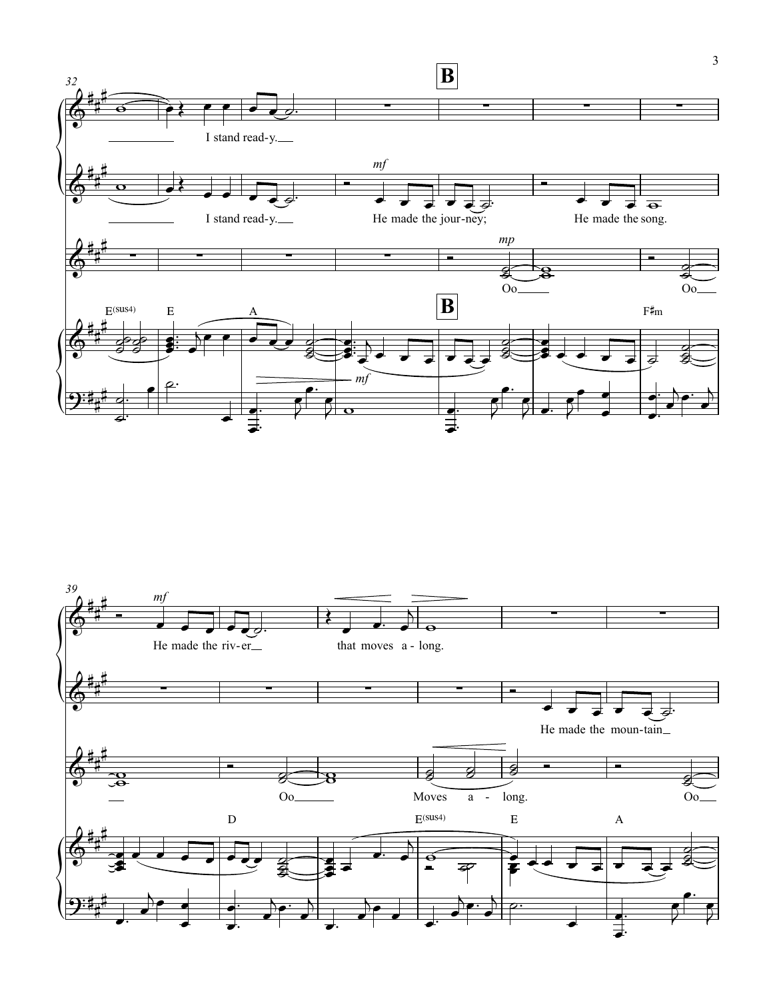

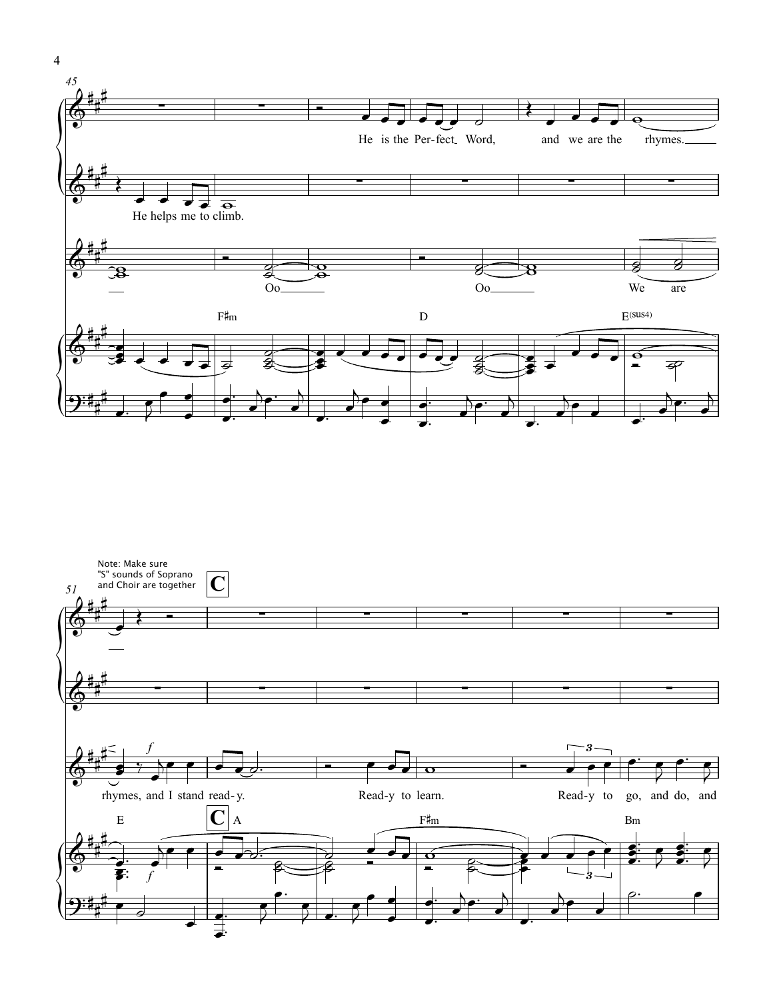



4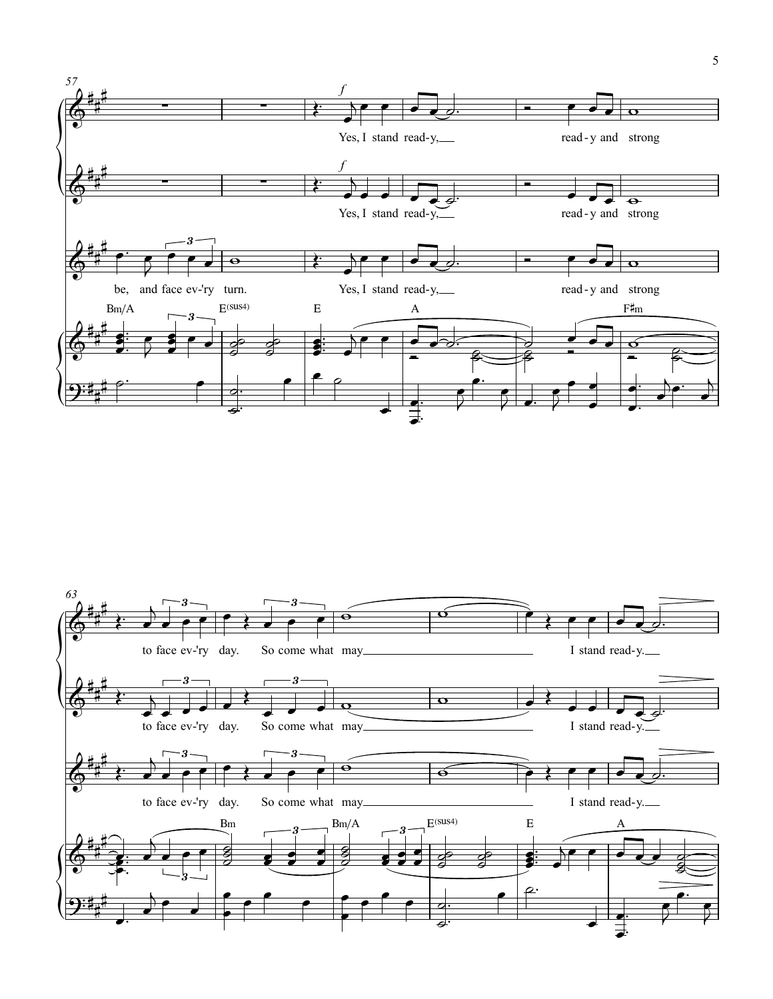

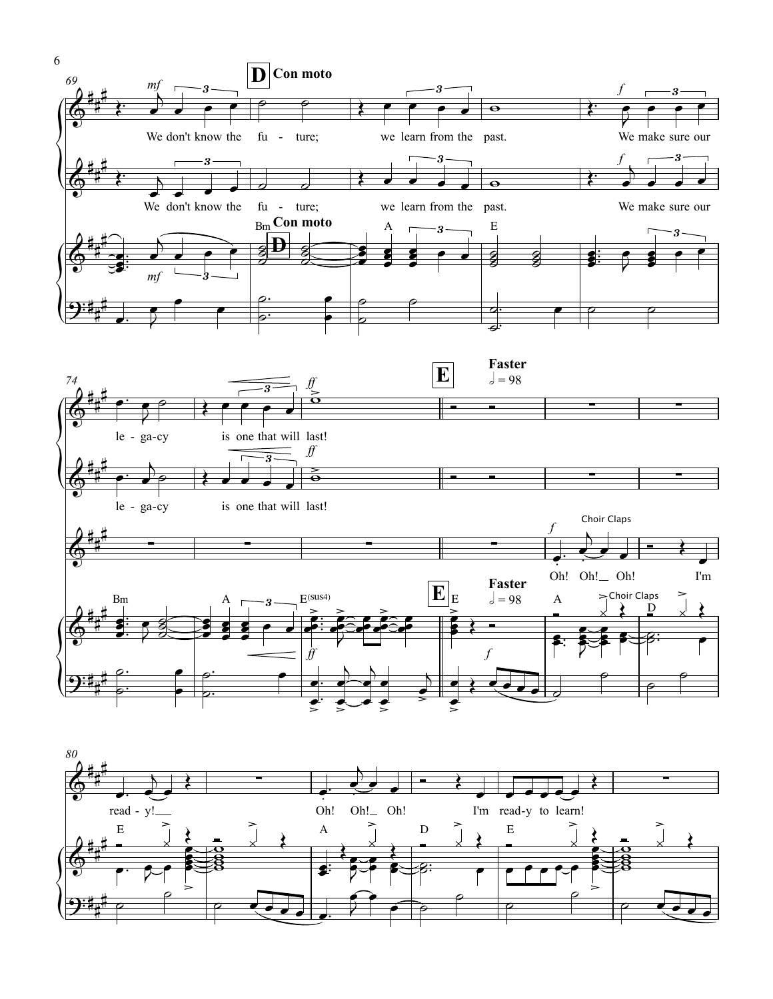



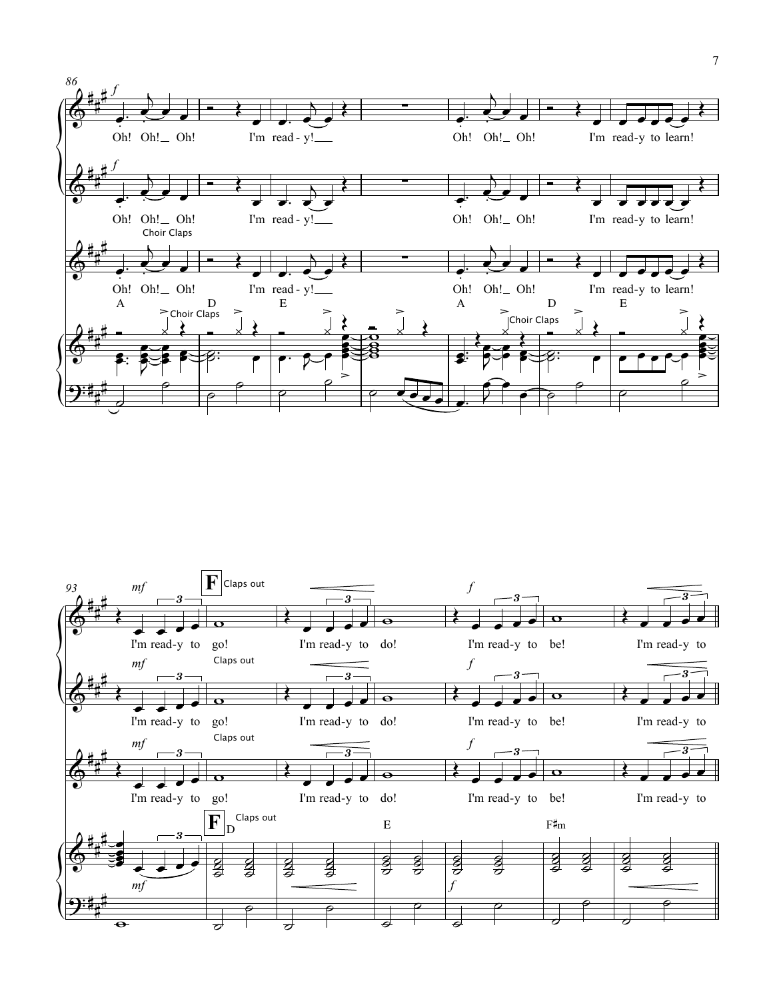

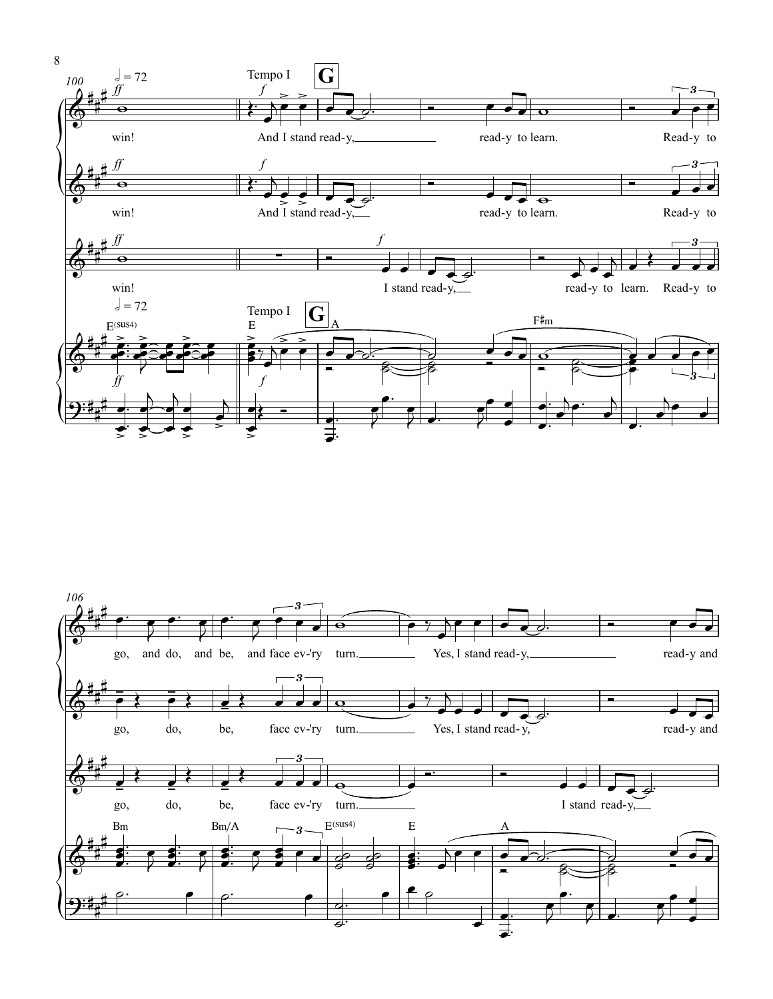